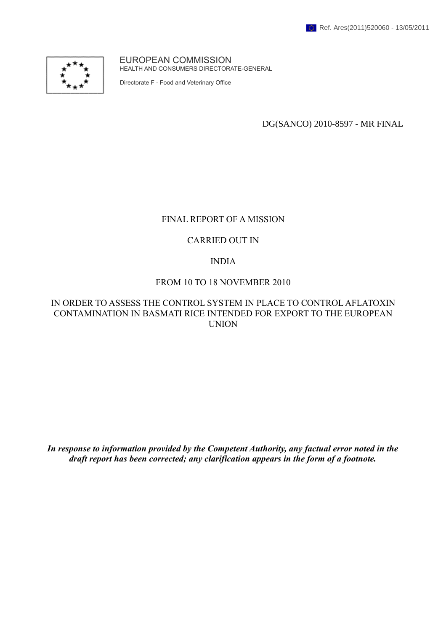

EUROPEAN COMMISSION HEALTH AND CONSUMERS DIRECTORATE-GENERAL

Directorate F - Food and Veterinary Office

DG(SANCO) 2010-8597 - MR FINAL

#### FINAL REPORT OF A MISSION

#### CARRIED OUT IN

#### INDIA

#### FROM 10 TO 18 NOVEMBER 2010

#### IN ORDER TO ASSESS THE CONTROL SYSTEM IN PLACE TO CONTROL AFLATOXIN CONTAMINATION IN BASMATI RICE INTENDED FOR EXPORT TO THE EUROPEAN UNION

*In response to information provided by the Competent Authority, any factual error noted in the draft report has been corrected; any clarification appears in the form of a footnote.*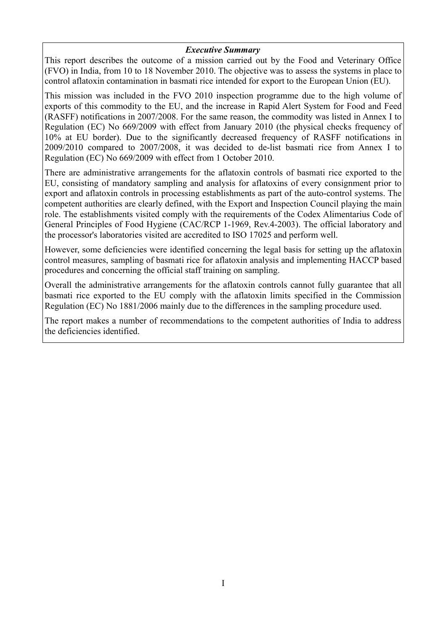#### *Executive Summary*

This report describes the outcome of a mission carried out by the Food and Veterinary Office (FVO) in India, from 10 to 18 November 2010. The objective was to assess the systems in place to control aflatoxin contamination in basmati rice intended for export to the European Union (EU).

This mission was included in the FVO 2010 inspection programme due to the high volume of exports of this commodity to the EU, and the increase in Rapid Alert System for Food and Feed (RASFF) notifications in 2007/2008. For the same reason, the commodity was listed in Annex I to Regulation (EC) No 669/2009 with effect from January 2010 (the physical checks frequency of 10% at EU border). Due to the significantly decreased frequency of RASFF notifications in 2009/2010 compared to 2007/2008, it was decided to de-list basmati rice from Annex I to Regulation (EC) No 669/2009 with effect from 1 October 2010.

There are administrative arrangements for the aflatoxin controls of basmati rice exported to the EU, consisting of mandatory sampling and analysis for aflatoxins of every consignment prior to export and aflatoxin controls in processing establishments as part of the auto-control systems. The competent authorities are clearly defined, with the Export and Inspection Council playing the main role. The establishments visited comply with the requirements of the Codex Alimentarius Code of General Principles of Food Hygiene (CAC/RCP 1-1969, Rev.4-2003). The official laboratory and the processor's laboratories visited are accredited to ISO 17025 and perform well.

However, some deficiencies were identified concerning the legal basis for setting up the aflatoxin control measures, sampling of basmati rice for aflatoxin analysis and implementing HACCP based procedures and concerning the official staff training on sampling.

Overall the administrative arrangements for the aflatoxin controls cannot fully guarantee that all basmati rice exported to the EU comply with the aflatoxin limits specified in the Commission Regulation (EC) No 1881/2006 mainly due to the differences in the sampling procedure used.

The report makes a number of recommendations to the competent authorities of India to address the deficiencies identified.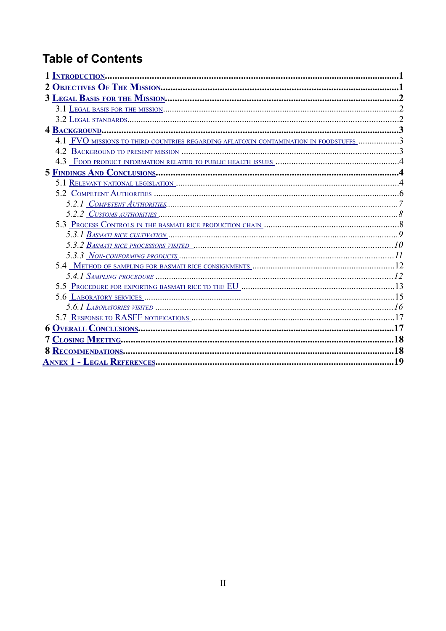# **Table of Contents**

| 4.1 FVO MISSIONS TO THIRD COUNTRIES REGARDING AFLATOXIN CONTAMINATION IN FOODSTUFFS 3 |  |
|---------------------------------------------------------------------------------------|--|
|                                                                                       |  |
|                                                                                       |  |
|                                                                                       |  |
|                                                                                       |  |
|                                                                                       |  |
|                                                                                       |  |
|                                                                                       |  |
|                                                                                       |  |
|                                                                                       |  |
|                                                                                       |  |
|                                                                                       |  |
|                                                                                       |  |
|                                                                                       |  |
|                                                                                       |  |
|                                                                                       |  |
|                                                                                       |  |
|                                                                                       |  |
|                                                                                       |  |
|                                                                                       |  |
|                                                                                       |  |
|                                                                                       |  |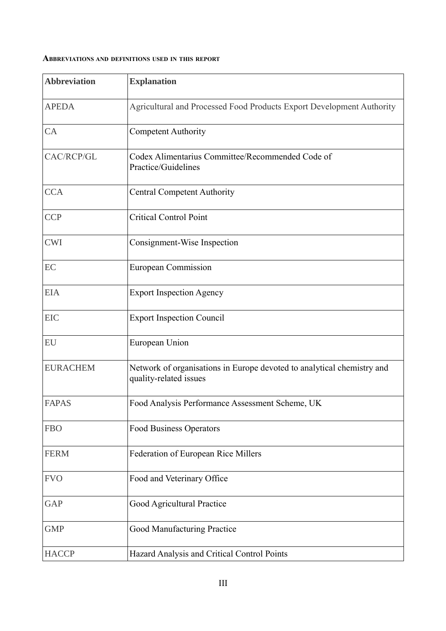#### **ABBREVIATIONS AND DEFINITIONS USED IN THIS REPORT**

| <b>Abbreviation</b> | <b>Explanation</b>                                                                               |  |
|---------------------|--------------------------------------------------------------------------------------------------|--|
| <b>APEDA</b>        | Agricultural and Processed Food Products Export Development Authority                            |  |
| CA                  | <b>Competent Authority</b>                                                                       |  |
| CAC/RCP/GL          | Codex Alimentarius Committee/Recommended Code of<br>Practice/Guidelines                          |  |
| <b>CCA</b>          | <b>Central Competent Authority</b>                                                               |  |
| <b>CCP</b>          | <b>Critical Control Point</b>                                                                    |  |
| <b>CWI</b>          | Consignment-Wise Inspection                                                                      |  |
| EC                  | <b>European Commission</b>                                                                       |  |
| <b>EIA</b>          | <b>Export Inspection Agency</b>                                                                  |  |
| <b>EIC</b>          | <b>Export Inspection Council</b>                                                                 |  |
| EU                  | European Union                                                                                   |  |
| <b>EURACHEM</b>     | Network of organisations in Europe devoted to analytical chemistry and<br>quality-related issues |  |
| <b>FAPAS</b>        | Food Analysis Performance Assessment Scheme, UK                                                  |  |
| <b>FBO</b>          | Food Business Operators                                                                          |  |
| <b>FERM</b>         | Federation of European Rice Millers                                                              |  |
| <b>FVO</b>          | Food and Veterinary Office                                                                       |  |
| <b>GAP</b>          | Good Agricultural Practice                                                                       |  |
| <b>GMP</b>          | Good Manufacturing Practice                                                                      |  |
| <b>HACCP</b>        | Hazard Analysis and Critical Control Points                                                      |  |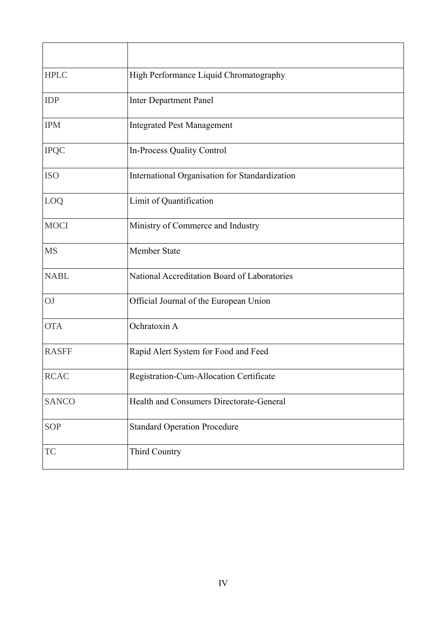| <b>HPLC</b>  | High Performance Liquid Chromatography         |  |
|--------------|------------------------------------------------|--|
| IDP          | <b>Inter Department Panel</b>                  |  |
| <b>IPM</b>   | <b>Integrated Pest Management</b>              |  |
| <b>IPQC</b>  | In-Process Quality Control                     |  |
| <b>ISO</b>   | International Organisation for Standardization |  |
| LOQ          | Limit of Quantification                        |  |
| <b>MOCI</b>  | Ministry of Commerce and Industry              |  |
| <b>MS</b>    | <b>Member State</b>                            |  |
| <b>NABL</b>  | National Accreditation Board of Laboratories   |  |
| OJ           | Official Journal of the European Union         |  |
| <b>OTA</b>   | Ochratoxin A                                   |  |
| <b>RASFF</b> | Rapid Alert System for Food and Feed           |  |
| <b>RCAC</b>  | Registration-Cum-Allocation Certificate        |  |
| <b>SANCO</b> | Health and Consumers Directorate-General       |  |
| <b>SOP</b>   | <b>Standard Operation Procedure</b>            |  |
| <b>TC</b>    | Third Country                                  |  |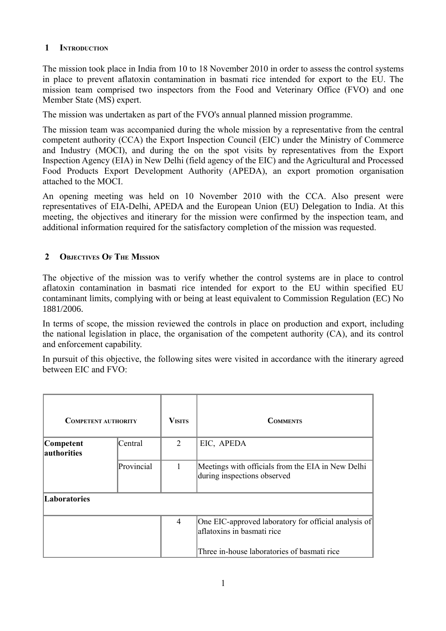## <span id="page-5-0"></span> **1 INTRODUCTION**

The mission took place in India from 10 to 18 November 2010 in order to assess the control systems in place to prevent aflatoxin contamination in basmati rice intended for export to the EU. The mission team comprised two inspectors from the Food and Veterinary Office (FVO) and one Member State (MS) expert.

The mission was undertaken as part of the FVO's annual planned mission programme.

The mission team was accompanied during the whole mission by a representative from the central competent authority (CCA) the Export Inspection Council (EIC) under the Ministry of Commerce and Industry (MOCI), and during the on the spot visits by representatives from the Export Inspection Agency (EIA) in New Delhi (field agency of the EIC) and the Agricultural and Processed Food Products Export Development Authority (APEDA), an export promotion organisation attached to the MOCI.

An opening meeting was held on 10 November 2010 with the CCA. Also present were representatives of EIA-Delhi, APEDA and the European Union (EU) Delegation to India. At this meeting, the objectives and itinerary for the mission were confirmed by the inspection team, and additional information required for the satisfactory completion of the mission was requested.

## <span id="page-5-1"></span> **2 OBJECTIVES OF THE MISSION**

The objective of the mission was to verify whether the control systems are in place to control aflatoxin contamination in basmati rice intended for export to the EU within specified EU contaminant limits, complying with or being at least equivalent to Commission Regulation (EC) No 1881/2006.

In terms of scope, the mission reviewed the controls in place on production and export, including the national legislation in place, the organisation of the competent authority (CA), and its control and enforcement capability.

In pursuit of this objective, the following sites were visited in accordance with the itinerary agreed between EIC and FVO:

| <b>COMPETENT AUTHORITY</b> |            | <b>VISITS</b>  | <b>COMMENTS</b>                                                                    |
|----------------------------|------------|----------------|------------------------------------------------------------------------------------|
| Competent<br>authorities   | Central    | 2              | EIC, APEDA                                                                         |
|                            | Provincial |                | Meetings with officials from the EIA in New Delhi<br>during inspections observed   |
| Laboratories               |            |                |                                                                                    |
|                            |            | $\overline{4}$ | One EIC-approved laboratory for official analysis of<br>aflatoxins in basmati rice |
|                            |            |                | Three in-house laboratories of basmati rice                                        |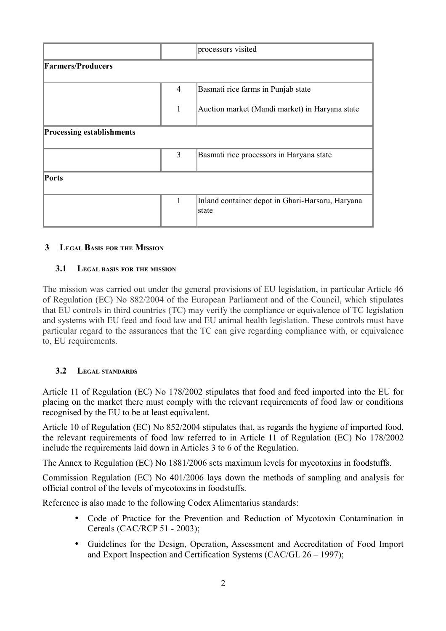|                                  |                | processors visited                                        |
|----------------------------------|----------------|-----------------------------------------------------------|
| <b>Farmers/Producers</b>         |                |                                                           |
|                                  | $\overline{4}$ | Basmati rice farms in Punjab state                        |
|                                  | 1              | Auction market (Mandi market) in Haryana state            |
| <b>Processing establishments</b> |                |                                                           |
|                                  | 3              | Basmati rice processors in Haryana state                  |
| <b>Ports</b>                     |                |                                                           |
|                                  | 1              | Inland container depot in Ghari-Harsaru, Haryana<br>state |

## <span id="page-6-2"></span> **3 LEGAL BASIS FOR THE MISSION**

#### <span id="page-6-1"></span> **3.1 LEGAL BASIS FOR THE MISSION**

The mission was carried out under the general provisions of EU legislation, in particular Article 46 of Regulation (EC) No 882/2004 of the European Parliament and of the Council, which stipulates that EU controls in third countries (TC) may verify the compliance or equivalence of TC legislation and systems with EU feed and food law and EU animal health legislation. These controls must have particular regard to the assurances that the TC can give regarding compliance with, or equivalence to, EU requirements.

## <span id="page-6-0"></span> **3.2 LEGAL STANDARDS**

Article 11 of Regulation (EC) No 178/2002 stipulates that food and feed imported into the EU for placing on the market there must comply with the relevant requirements of food law or conditions recognised by the EU to be at least equivalent.

Article 10 of Regulation (EC) No 852/2004 stipulates that, as regards the hygiene of imported food, the relevant requirements of food law referred to in Article 11 of Regulation (EC) No 178/2002 include the requirements laid down in Articles 3 to 6 of the Regulation.

The Annex to Regulation (EC) No 1881/2006 sets maximum levels for mycotoxins in foodstuffs.

Commission Regulation (EC) No 401/2006 lays down the methods of sampling and analysis for official control of the levels of mycotoxins in foodstuffs.

Reference is also made to the following Codex Alimentarius standards:

- Code of Practice for the Prevention and Reduction of Mycotoxin Contamination in Cereals (CAC/RCP 51 - 2003);
- Guidelines for the Design, Operation, Assessment and Accreditation of Food Import and Export Inspection and Certification Systems (CAC/GL 26 – 1997);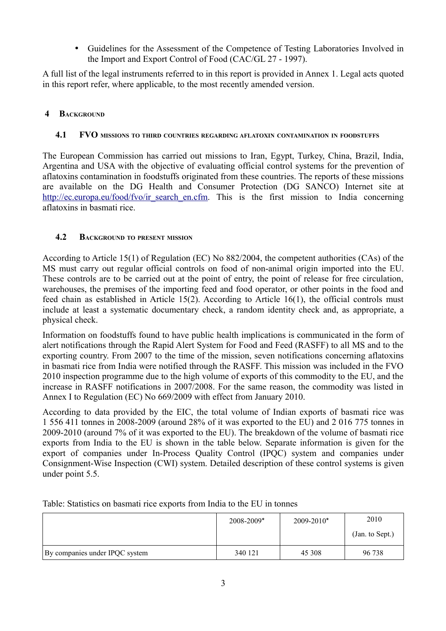• Guidelines for the Assessment of the Competence of Testing Laboratories Involved in the Import and Export Control of Food (CAC/GL 27 - 1997).

A full list of the legal instruments referred to in this report is provided in Annex 1. Legal acts quoted in this report refer, where applicable, to the most recently amended version.

## <span id="page-7-2"></span> **4 BACKGROUND**

## <span id="page-7-1"></span> **4.1 FVO MISSIONS TO THIRD COUNTRIES REGARDING AFLATOXIN CONTAMINATION IN FOODSTUFFS**

The European Commission has carried out missions to Iran, Egypt, Turkey, China, Brazil, India, Argentina and USA with the objective of evaluating official control systems for the prevention of aflatoxins contamination in foodstuffs originated from these countries. The reports of these missions are available on the DG Health and Consumer Protection (DG SANCO) Internet site at [http://ec.europa.eu/food/fvo/ir\\_search\\_en.cfm.](http://ec.europa.eu/food/fvo/ir_search_en.cfm) This is the first mission to India concerning aflatoxins in basmati rice.

## <span id="page-7-0"></span> **4.2 BACKGROUND TO PRESENT MISSION**

According to Article 15(1) of Regulation (EC) No 882/2004, the competent authorities (CAs) of the MS must carry out regular official controls on food of non-animal origin imported into the EU. These controls are to be carried out at the point of entry, the point of release for free circulation, warehouses, the premises of the importing feed and food operator, or other points in the food and feed chain as established in Article 15(2). According to Article 16(1), the official controls must include at least a systematic documentary check, a random identity check and, as appropriate, a physical check.

Information on foodstuffs found to have public health implications is communicated in the form of alert notifications through the Rapid Alert System for Food and Feed (RASFF) to all MS and to the exporting country. From 2007 to the time of the mission, seven notifications concerning aflatoxins in basmati rice from India were notified through the RASFF. This mission was included in the FVO 2010 inspection programme due to the high volume of exports of this commodity to the EU, and the increase in RASFF notifications in 2007/2008. For the same reason, the commodity was listed in Annex I to Regulation (EC) No 669/2009 with effect from January 2010.

According to data provided by the EIC, the total volume of Indian exports of basmati rice was 1 556 411 tonnes in 2008-2009 (around 28% of it was exported to the EU) and 2 016 775 tonnes in 2009-2010 (around 7% of it was exported to the EU). The breakdown of the volume of basmati rice exports from India to the EU is shown in the table below. Separate information is given for the export of companies under In-Process Quality Control (IPQC) system and companies under Consignment-Wise Inspection (CWI) system. Detailed description of these control systems is given under point 5.5.

|                                | 2008-2009* | $2009 - 2010*$ | 2010            |
|--------------------------------|------------|----------------|-----------------|
|                                |            |                | (Jan. to Sept.) |
| By companies under IPQC system | 340 121    | 45 308         | 96 738          |

Table: Statistics on basmati rice exports from India to the EU in tonnes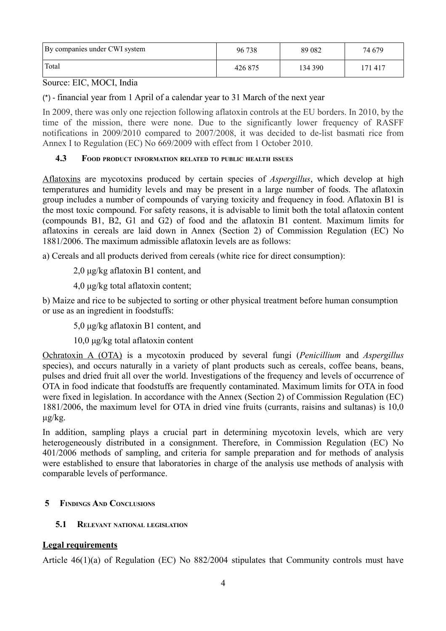| By companies under CWI system | 96 738  | 89 0 82 | 74 679  |
|-------------------------------|---------|---------|---------|
| ' Total                       | 426 875 | 134 390 | .71 417 |

Source: EIC, MOCI, India

(\*) - financial year from 1 April of a calendar year to 31 March of the next year

In 2009, there was only one rejection following aflatoxin controls at the EU borders. In 2010, by the time of the mission, there were none. Due to the significantly lower frequency of RASFF notifications in 2009/2010 compared to 2007/2008, it was decided to de-list basmati rice from Annex I to Regulation (EC) No 669/2009 with effect from 1 October 2010.

#### <span id="page-8-2"></span> **4.3 FOOD PRODUCT INFORMATION RELATED TO PUBLIC HEALTH ISSUES**

Aflatoxins are mycotoxins produced by certain species of *Aspergillus*, which develop at high temperatures and humidity levels and may be present in a large number of foods. The aflatoxin group includes a number of compounds of varying toxicity and frequency in food. Aflatoxin B1 is the most toxic compound. For safety reasons, it is advisable to limit both the total aflatoxin content (compounds B1, B2, G1 and G2) of food and the aflatoxin B1 content. Maximum limits for aflatoxins in cereals are laid down in Annex (Section 2) of Commission Regulation (EC) No 1881/2006. The maximum admissible aflatoxin levels are as follows:

a) Cereals and all products derived from cereals (white rice for direct consumption):

2,0 μg/kg aflatoxin B1 content, and

4,0 μg/kg total aflatoxin content;

b) Maize and rice to be subjected to sorting or other physical treatment before human consumption or use as an ingredient in foodstuffs:

5,0 μg/kg aflatoxin B1 content, and

10,0 μg/kg total aflatoxin content

Ochratoxin A (OTA) is a mycotoxin produced by several fungi (*Penicillium* and *Aspergillus* species), and occurs naturally in a variety of plant products such as cereals, coffee beans, beans, pulses and dried fruit all over the world. Investigations of the frequency and levels of occurrence of OTA in food indicate that foodstuffs are frequently contaminated. Maximum limits for OTA in food were fixed in legislation. In accordance with the Annex (Section 2) of Commission Regulation (EC) 1881/2006, the maximum level for OTA in dried vine fruits (currants, raisins and sultanas) is 10,0 μg/kg.

In addition, sampling plays a crucial part in determining mycotoxin levels, which are very heterogeneously distributed in a consignment. Therefore, in Commission Regulation (EC) No 401/2006 methods of sampling, and criteria for sample preparation and for methods of analysis were established to ensure that laboratories in charge of the analysis use methods of analysis with comparable levels of performance.

## <span id="page-8-1"></span> **5 FINDINGS AND CONCLUSIONS**

#### <span id="page-8-0"></span> **5.1 RELEVANT NATIONAL LEGISLATION**

## **Legal requirements**

Article 46(1)(a) of Regulation (EC) No 882/2004 stipulates that Community controls must have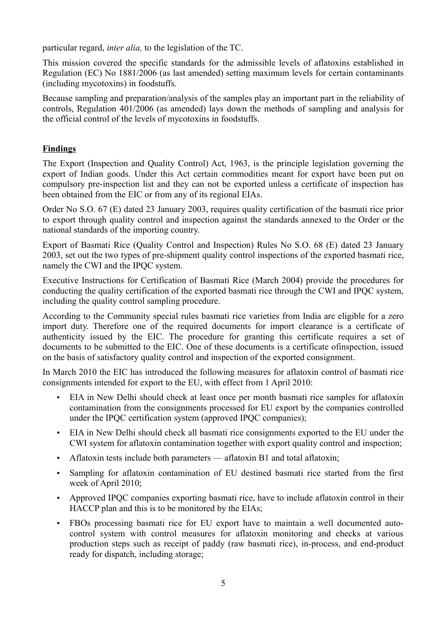particular regard, *inter alia,* to the legislation of the TC.

This mission covered the specific standards for the admissible levels of aflatoxins established in Regulation (EC) No 1881/2006 (as last amended) setting maximum levels for certain contaminants (including mycotoxins) in foodstuffs.

Because sampling and preparation/analysis of the samples play an important part in the reliability of controls, Regulation 401/2006 (as amended) lays down the methods of sampling and analysis for the official control of the levels of mycotoxins in foodstuffs.

# **Findings**

The Export (Inspection and Quality Control) Act, 1963, is the principle legislation governing the export of Indian goods. Under this Act certain commodities meant for export have been put on compulsory pre-inspection list and they can not be exported unless a certificate of inspection has been obtained from the EIC or from any of its regional EIAs.

Order No S.O. 67 (E) dated 23 January 2003, requires quality certification of the basmati rice prior to export through quality control and inspection against the standards annexed to the Order or the national standards of the importing country.

Export of Basmati Rice (Quality Control and Inspection) Rules No S.O. 68 (E) dated 23 January 2003, set out the two types of pre-shipment quality control inspections of the exported basmati rice, namely the CWI and the IPQC system.

Executive Instructions for Certification of Basmati Rice (March 2004) provide the procedures for conducting the quality certification of the exported basmati rice through the CWI and IPQC system, including the quality control sampling procedure.

According to the Community special rules basmati rice varieties from India are eligible for a zero import duty. Therefore one of the required documents for import clearance is a certificate of authenticity issued by the EIC. The procedure for granting this certificate requires a set of documents to be submitted to the EIC. One of these documents is a certificate ofinspection, issued on the basis of satisfactory quality control and inspection of the exported consignment.

In March 2010 the EIC has introduced the following measures for aflatoxin control of basmati rice consignments intended for export to the EU, with effect from 1 April 2010:

- EIA in New Delhi should check at least once per month basmati rice samples for aflatoxin contamination from the consignments processed for EU export by the companies controlled under the IPQC certification system (approved IPQC companies);
- EIA in New Delhi should check all basmati rice consignments exported to the EU under the CWI system for aflatoxin contamination together with export quality control and inspection;
- Aflatoxin tests include both parameters aflatoxin B1 and total aflatoxin:
- Sampling for aflatoxin contamination of EU destined basmati rice started from the first week of April 2010;
- Approved IPQC companies exporting basmati rice, have to include aflatoxin control in their HACCP plan and this is to be monitored by the EIAs;
- FBOs processing basmati rice for EU export have to maintain a well documented autocontrol system with control measures for aflatoxin monitoring and checks at various production steps such as receipt of paddy (raw basmati rice), in-process, and end-product ready for dispatch, including storage;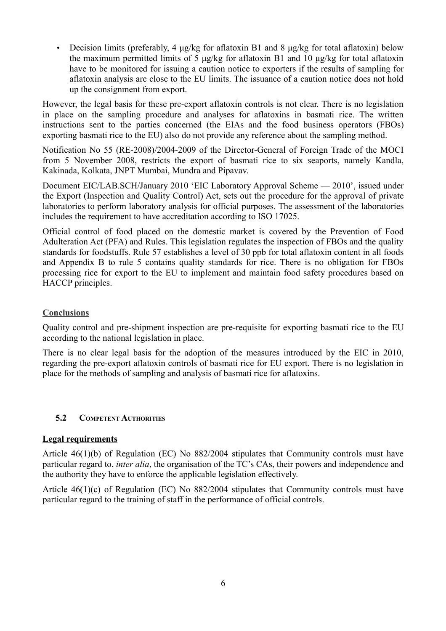• Decision limits (preferably, 4 μg/kg for aflatoxin B1 and 8 μg/kg for total aflatoxin) below the maximum permitted limits of 5 μg/kg for aflatoxin B1 and 10 μg/kg for total aflatoxin have to be monitored for issuing a caution notice to exporters if the results of sampling for aflatoxin analysis are close to the EU limits. The issuance of a caution notice does not hold up the consignment from export.

However, the legal basis for these pre-export aflatoxin controls is not clear. There is no legislation in place on the sampling procedure and analyses for aflatoxins in basmati rice. The written instructions sent to the parties concerned (the EIAs and the food business operators (FBOs) exporting basmati rice to the EU) also do not provide any reference about the sampling method.

Notification No 55 (RE-2008)/2004-2009 of the Director-General of Foreign Trade of the MOCI from 5 November 2008, restricts the export of basmati rice to six seaports, namely Kandla, Kakinada, Kolkata, JNPT Mumbai, Mundra and Pipavav.

Document EIC/LAB.SCH/January 2010 'EIC Laboratory Approval Scheme — 2010', issued under the Export (Inspection and Quality Control) Act, sets out the procedure for the approval of private laboratories to perform laboratory analysis for official purposes. The assessment of the laboratories includes the requirement to have accreditation according to ISO 17025.

Official control of food placed on the domestic market is covered by the Prevention of Food Adulteration Act (PFA) and Rules. This legislation regulates the inspection of FBOs and the quality standards for foodstuffs. Rule 57 establishes a level of 30 ppb for total aflatoxin content in all foods and Appendix B to rule 5 contains quality standards for rice. There is no obligation for FBOs processing rice for export to the EU to implement and maintain food safety procedures based on HACCP principles.

## **Conclusions**

Quality control and pre-shipment inspection are pre-requisite for exporting basmati rice to the EU according to the national legislation in place.

There is no clear legal basis for the adoption of the measures introduced by the EIC in 2010, regarding the pre-export aflatoxin controls of basmati rice for EU export. There is no legislation in place for the methods of sampling and analysis of basmati rice for aflatoxins.

## <span id="page-10-0"></span> **5.2 COMPETENT AUTHORITIES**

## **Legal requirements**

Article 46(1)(b) of Regulation (EC) No 882/2004 stipulates that Community controls must have particular regard to, *inter alia*, the organisation of the TC's CAs, their powers and independence and the authority they have to enforce the applicable legislation effectively.

Article 46(1)(c) of Regulation (EC) No 882/2004 stipulates that Community controls must have particular regard to the training of staff in the performance of official controls.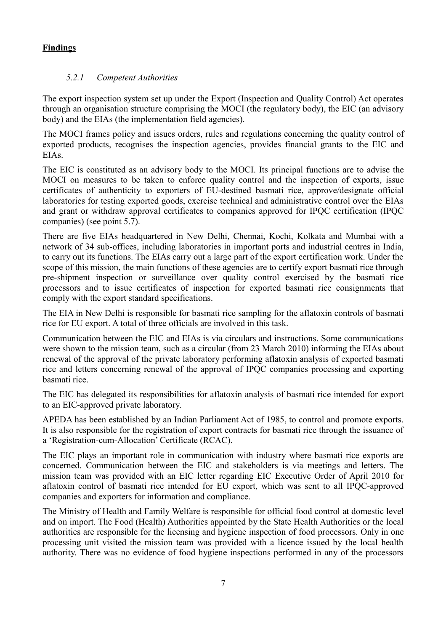# **Findings**

# <span id="page-11-0"></span> *5.2.1 Competent Authorities*

The export inspection system set up under the Export (Inspection and Quality Control) Act operates through an organisation structure comprising the MOCI (the regulatory body), the EIC (an advisory body) and the EIAs (the implementation field agencies).

The MOCI frames policy and issues orders, rules and regulations concerning the quality control of exported products, recognises the inspection agencies, provides financial grants to the EIC and EIAs.

The EIC is constituted as an advisory body to the MOCI. Its principal functions are to advise the MOCI on measures to be taken to enforce quality control and the inspection of exports, issue certificates of authenticity to exporters of EU-destined basmati rice, approve/designate official laboratories for testing exported goods, exercise technical and administrative control over the EIAs and grant or withdraw approval certificates to companies approved for IPQC certification (IPQC companies) (see point 5.7).

There are five EIAs headquartered in New Delhi, Chennai, Kochi, Kolkata and Mumbai with a network of 34 sub-offices, including laboratories in important ports and industrial centres in India, to carry out its functions. The EIAs carry out a large part of the export certification work. Under the scope of this mission, the main functions of these agencies are to certify export basmati rice through pre-shipment inspection or surveillance over quality control exercised by the basmati rice processors and to issue certificates of inspection for exported basmati rice consignments that comply with the export standard specifications.

The EIA in New Delhi is responsible for basmati rice sampling for the aflatoxin controls of basmati rice for EU export. A total of three officials are involved in this task.

Communication between the EIC and EIAs is via circulars and instructions. Some communications were shown to the mission team, such as a circular (from 23 March 2010) informing the EIAs about renewal of the approval of the private laboratory performing aflatoxin analysis of exported basmati rice and letters concerning renewal of the approval of IPQC companies processing and exporting basmati rice.

The EIC has delegated its responsibilities for aflatoxin analysis of basmati rice intended for export to an EIC-approved private laboratory.

APEDA has been established by an Indian Parliament Act of 1985, to control and promote exports. It is also responsible for the registration of export contracts for basmati rice through the issuance of a 'Registration-cum-Allocation' Certificate (RCAC).

The EIC plays an important role in communication with industry where basmati rice exports are concerned. Communication between the EIC and stakeholders is via meetings and letters. The mission team was provided with an EIC letter regarding EIC Executive Order of April 2010 for aflatoxin control of basmati rice intended for EU export, which was sent to all IPQC-approved companies and exporters for information and compliance.

The Ministry of Health and Family Welfare is responsible for official food control at domestic level and on import. The Food (Health) Authorities appointed by the State Health Authorities or the local authorities are responsible for the licensing and hygiene inspection of food processors. Only in one processing unit visited the mission team was provided with a licence issued by the local health authority. There was no evidence of food hygiene inspections performed in any of the processors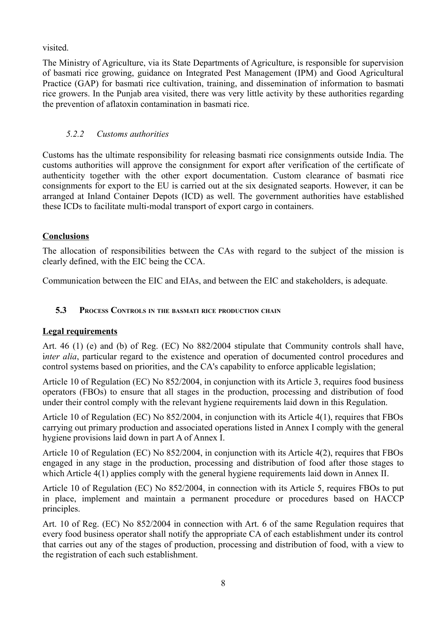visited.

The Ministry of Agriculture, via its State Departments of Agriculture, is responsible for supervision of basmati rice growing, guidance on Integrated Pest Management (IPM) and Good Agricultural Practice (GAP) for basmati rice cultivation, training, and dissemination of information to basmati rice growers. In the Punjab area visited, there was very little activity by these authorities regarding the prevention of aflatoxin contamination in basmati rice.

# <span id="page-12-1"></span> *5.2.2 Customs authorities*

Customs has the ultimate responsibility for releasing basmati rice consignments outside India. The customs authorities will approve the consignment for export after verification of the certificate of authenticity together with the other export documentation. Custom clearance of basmati rice consignments for export to the EU is carried out at the six designated seaports. However, it can be arranged at Inland Container Depots (ICD) as well. The government authorities have established these ICDs to facilitate multi-modal transport of export cargo in containers.

# **Conclusions**

The allocation of responsibilities between the CAs with regard to the subject of the mission is clearly defined, with the EIC being the CCA.

Communication between the EIC and EIAs, and between the EIC and stakeholders, is adequate.

# <span id="page-12-0"></span> **5.3 PROCESS CONTROLS IN THE BASMATI RICE PRODUCTION CHAIN**

# **Legal requirements**

Art. 46 (1) (e) and (b) of Reg. (EC) No 882/2004 stipulate that Community controls shall have, i*nter alia*, particular regard to the existence and operation of documented control procedures and control systems based on priorities, and the CA's capability to enforce applicable legislation;

Article 10 of Regulation (EC) No 852/2004, in conjunction with its Article 3, requires food business operators (FBOs) to ensure that all stages in the production, processing and distribution of food under their control comply with the relevant hygiene requirements laid down in this Regulation.

Article 10 of Regulation (EC) No 852/2004, in conjunction with its Article 4(1), requires that FBOs carrying out primary production and associated operations listed in Annex I comply with the general hygiene provisions laid down in part A of Annex I.

Article 10 of Regulation (EC) No 852/2004, in conjunction with its Article 4(2), requires that FBOs engaged in any stage in the production, processing and distribution of food after those stages to which Article 4(1) applies comply with the general hygiene requirements laid down in Annex II.

Article 10 of Regulation (EC) No 852/2004, in connection with its Article 5, requires FBOs to put in place, implement and maintain a permanent procedure or procedures based on HACCP principles.

Art. 10 of Reg. (EC) No 852/2004 in connection with Art. 6 of the same Regulation requires that every food business operator shall notify the appropriate CA of each establishment under its control that carries out any of the stages of production, processing and distribution of food, with a view to the registration of each such establishment.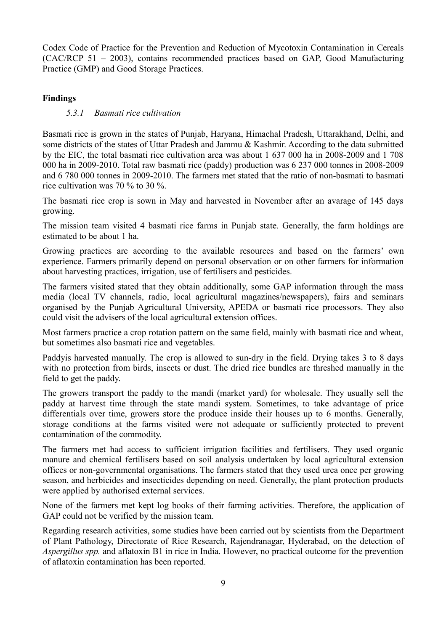Codex Code of Practice for the Prevention and Reduction of Mycotoxin Contamination in Cereals (CAC/RCP 51 – 2003), contains recommended practices based on GAP, Good Manufacturing Practice (GMP) and Good Storage Practices.

## **Findings**

## <span id="page-13-0"></span> *5.3.1 Basmati rice cultivation*

Basmati rice is grown in the states of Punjab, Haryana, Himachal Pradesh, Uttarakhand, Delhi, and some districts of the states of Uttar Pradesh and Jammu & Kashmir. According to the data submitted by the EIC, the total basmati rice cultivation area was about 1 637 000 ha in 2008-2009 and 1 708 000 ha in 2009-2010. Total raw basmati rice (paddy) production was 6 237 000 tonnes in 2008-2009 and 6 780 000 tonnes in 2009-2010. The farmers met stated that the ratio of non-basmati to basmati rice cultivation was 70 % to 30 %.

The basmati rice crop is sown in May and harvested in November after an avarage of 145 days growing.

The mission team visited 4 basmati rice farms in Punjab state. Generally, the farm holdings are estimated to be about 1 ha.

Growing practices are according to the available resources and based on the farmers' own experience. Farmers primarily depend on personal observation or on other farmers for information about harvesting practices, irrigation, use of fertilisers and pesticides.

The farmers visited stated that they obtain additionally, some GAP information through the mass media (local TV channels, radio, local agricultural magazines/newspapers), fairs and seminars organised by the Punjab Agricultural University, APEDA or basmati rice processors. They also could visit the advisers of the local agricultural extension offices.

Most farmers practice a crop rotation pattern on the same field, mainly with basmati rice and wheat, but sometimes also basmati rice and vegetables.

Paddyis harvested manually. The crop is allowed to sun-dry in the field. Drying takes 3 to 8 days with no protection from birds, insects or dust. The dried rice bundles are threshed manually in the field to get the paddy.

The growers transport the paddy to the mandi (market yard) for wholesale. They usually sell the paddy at harvest time through the state mandi system. Sometimes, to take advantage of price differentials over time, growers store the produce inside their houses up to 6 months. Generally, storage conditions at the farms visited were not adequate or sufficiently protected to prevent contamination of the commodity.

The farmers met had access to sufficient irrigation facilities and fertilisers. They used organic manure and chemical fertilisers based on soil analysis undertaken by local agricultural extension offices or non-governmental organisations. The farmers stated that they used urea once per growing season, and herbicides and insecticides depending on need. Generally, the plant protection products were applied by authorised external services.

None of the farmers met kept log books of their farming activities. Therefore, the application of GAP could not be verified by the mission team.

Regarding research activities, some studies have been carried out by scientists from the Department of Plant Pathology, Directorate of Rice Research, Rajendranagar, Hyderabad, on the detection of *Aspergillus spp.* and aflatoxin B1 in rice in India. However, no practical outcome for the prevention of aflatoxin contamination has been reported.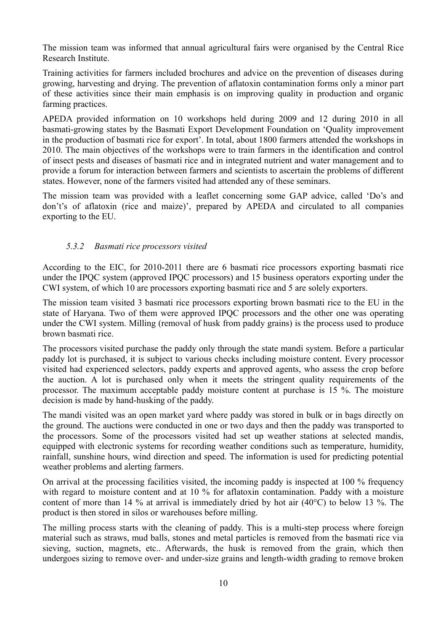The mission team was informed that annual agricultural fairs were organised by the Central Rice Research Institute.

Training activities for farmers included brochures and advice on the prevention of diseases during growing, harvesting and drying. The prevention of aflatoxin contamination forms only a minor part of these activities since their main emphasis is on improving quality in production and organic farming practices.

APEDA provided information on 10 workshops held during 2009 and 12 during 2010 in all basmati-growing states by the Basmati Export Development Foundation on 'Quality improvement in the production of basmati rice for export'. In total, about 1800 farmers attended the workshops in 2010. The main objectives of the workshops were to train farmers in the identification and control of insect pests and diseases of basmati rice and in integrated nutrient and water management and to provide a forum for interaction between farmers and scientists to ascertain the problems of different states. However, none of the farmers visited had attended any of these seminars.

The mission team was provided with a leaflet concerning some GAP advice, called 'Do's and don't's of aflatoxin (rice and maize)', prepared by APEDA and circulated to all companies exporting to the EU.

## <span id="page-14-0"></span> *5.3.2 Basmati rice processors visited*

According to the EIC, for 2010-2011 there are 6 basmati rice processors exporting basmati rice under the IPQC system (approved IPQC processors) and 15 business operators exporting under the CWI system, of which 10 are processors exporting basmati rice and 5 are solely exporters.

The mission team visited 3 basmati rice processors exporting brown basmati rice to the EU in the state of Haryana. Two of them were approved IPQC processors and the other one was operating under the CWI system. Milling (removal of husk from paddy grains) is the process used to produce brown basmati rice.

The processors visited purchase the paddy only through the state mandi system. Before a particular paddy lot is purchased, it is subject to various checks including moisture content. Every processor visited had experienced selectors, paddy experts and approved agents, who assess the crop before the auction. A lot is purchased only when it meets the stringent quality requirements of the processor. The maximum acceptable paddy moisture content at purchase is 15 %. The moisture decision is made by hand-husking of the paddy.

The mandi visited was an open market yard where paddy was stored in bulk or in bags directly on the ground. The auctions were conducted in one or two days and then the paddy was transported to the processors. Some of the processors visited had set up weather stations at selected mandis, equipped with electronic systems for recording weather conditions such as temperature, humidity, rainfall, sunshine hours, wind direction and speed. The information is used for predicting potential weather problems and alerting farmers.

On arrival at the processing facilities visited, the incoming paddy is inspected at 100 % frequency with regard to moisture content and at 10 % for aflatoxin contamination. Paddy with a moisture content of more than 14 % at arrival is immediately dried by hot air (40°C) to below 13 %. The product is then stored in silos or warehouses before milling.

The milling process starts with the cleaning of paddy. This is a multi-step process where foreign material such as straws, mud balls, stones and metal particles is removed from the basmati rice via sieving, suction, magnets, etc.. Afterwards, the husk is removed from the grain, which then undergoes sizing to remove over- and under-size grains and length-width grading to remove broken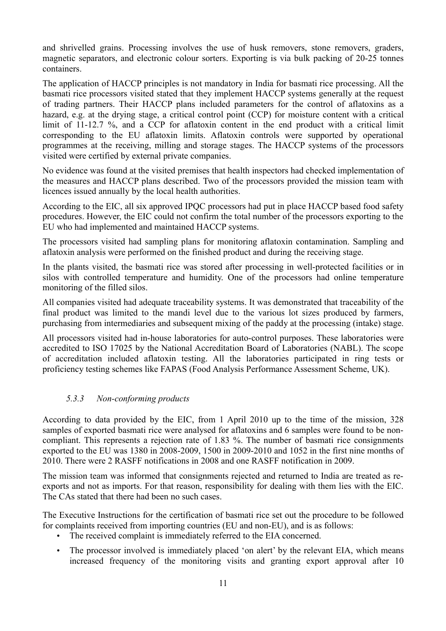and shrivelled grains. Processing involves the use of husk removers, stone removers, graders, magnetic separators, and electronic colour sorters. Exporting is via bulk packing of 20-25 tonnes containers.

The application of HACCP principles is not mandatory in India for basmati rice processing. All the basmati rice processors visited stated that they implement HACCP systems generally at the request of trading partners. Their HACCP plans included parameters for the control of aflatoxins as a hazard, e.g. at the drying stage, a critical control point (CCP) for moisture content with a critical limit of 11-12.7 %, and a CCP for aflatoxin content in the end product with a critical limit corresponding to the EU aflatoxin limits. Aflatoxin controls were supported by operational programmes at the receiving, milling and storage stages. The HACCP systems of the processors visited were certified by external private companies.

No evidence was found at the visited premises that health inspectors had checked implementation of the measures and HACCP plans described. Two of the processors provided the mission team with licences issued annually by the local health authorities.

According to the EIC, all six approved IPQC processors had put in place HACCP based food safety procedures. However, the EIC could not confirm the total number of the processors exporting to the EU who had implemented and maintained HACCP systems.

The processors visited had sampling plans for monitoring aflatoxin contamination. Sampling and aflatoxin analysis were performed on the finished product and during the receiving stage.

In the plants visited, the basmati rice was stored after processing in well-protected facilities or in silos with controlled temperature and humidity. One of the processors had online temperature monitoring of the filled silos.

All companies visited had adequate traceability systems. It was demonstrated that traceability of the final product was limited to the mandi level due to the various lot sizes produced by farmers, purchasing from intermediaries and subsequent mixing of the paddy at the processing (intake) stage.

All processors visited had in-house laboratories for auto-control purposes. These laboratories were accredited to ISO 17025 by the National Accreditation Board of Laboratories (NABL). The scope of accreditation included aflatoxin testing. All the laboratories participated in ring tests or proficiency testing schemes like FAPAS (Food Analysis Performance Assessment Scheme, UK).

## <span id="page-15-0"></span> *5.3.3 Non-conforming products*

According to data provided by the EIC, from 1 April 2010 up to the time of the mission, 328 samples of exported basmati rice were analysed for aflatoxins and 6 samples were found to be noncompliant. This represents a rejection rate of 1.83 %. The number of basmati rice consignments exported to the EU was 1380 in 2008-2009, 1500 in 2009-2010 and 1052 in the first nine months of 2010. There were 2 RASFF notifications in 2008 and one RASFF notification in 2009.

The mission team was informed that consignments rejected and returned to India are treated as reexports and not as imports. For that reason, responsibility for dealing with them lies with the EIC. The CAs stated that there had been no such cases.

The Executive Instructions for the certification of basmati rice set out the procedure to be followed for complaints received from importing countries (EU and non-EU), and is as follows:

- The received complaint is immediately referred to the EIA concerned.
- The processor involved is immediately placed 'on alert' by the relevant EIA, which means increased frequency of the monitoring visits and granting export approval after 10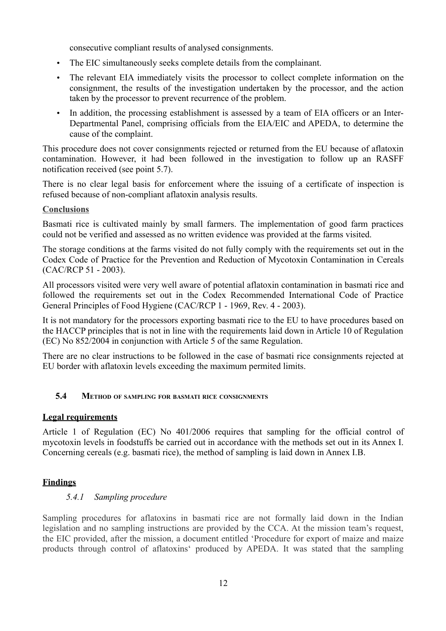consecutive compliant results of analysed consignments.

- The EIC simultaneously seeks complete details from the complainant.
- The relevant EIA immediately visits the processor to collect complete information on the consignment, the results of the investigation undertaken by the processor, and the action taken by the processor to prevent recurrence of the problem.
- In addition, the processing establishment is assessed by a team of EIA officers or an Inter-Departmental Panel, comprising officials from the EIA/EIC and APEDA, to determine the cause of the complaint.

This procedure does not cover consignments rejected or returned from the EU because of aflatoxin contamination. However, it had been followed in the investigation to follow up an RASFF notification received (see point 5.7).

There is no clear legal basis for enforcement where the issuing of a certificate of inspection is refused because of non-compliant aflatoxin analysis results.

#### **Conclusions**

Basmati rice is cultivated mainly by small farmers. The implementation of good farm practices could not be verified and assessed as no written evidence was provided at the farms visited.

The storage conditions at the farms visited do not fully comply with the requirements set out in the Codex Code of Practice for the Prevention and Reduction of Mycotoxin Contamination in Cereals (CAC/RCP 51 - 2003).

All processors visited were very well aware of potential aflatoxin contamination in basmati rice and followed the requirements set out in the Codex Recommended International Code of Practice General Principles of Food Hygiene (CAC/RCP 1 - 1969, Rev. 4 - 2003).

It is not mandatory for the processors exporting basmati rice to the EU to have procedures based on the HACCP principles that is not in line with the requirements laid down in Article 10 of Regulation (EC) No 852/2004 in conjunction with Article 5 of the same Regulation.

There are no clear instructions to be followed in the case of basmati rice consignments rejected at EU border with aflatoxin levels exceeding the maximum permited limits.

## <span id="page-16-1"></span> **5.4 METHOD OF SAMPLING FOR BASMATI RICE CONSIGNMENTS**

## **Legal requirements**

Article 1 of Regulation (EC) No 401/2006 requires that sampling for the official control of mycotoxin levels in foodstuffs be carried out in accordance with the methods set out in its Annex I. Concerning cereals (e.g. basmati rice), the method of sampling is laid down in Annex I.B.

## **Findings**

## <span id="page-16-0"></span> *5.4.1 Sampling procedure*

Sampling procedures for aflatoxins in basmati rice are not formally laid down in the Indian legislation and no sampling instructions are provided by the CCA. At the mission team's request, the EIC provided, after the mission, a document entitled 'Procedure for export of maize and maize products through control of aflatoxins' produced by APEDA. It was stated that the sampling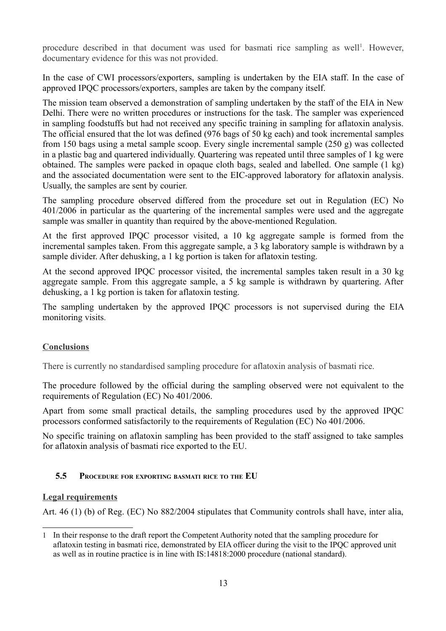procedure described in that document was used for basmati rice sampling as well<sup>[1](#page-17-1)</sup>. However, documentary evidence for this was not provided.

In the case of CWI processors/exporters, sampling is undertaken by the EIA staff. In the case of approved IPQC processors/exporters, samples are taken by the company itself.

The mission team observed a demonstration of sampling undertaken by the staff of the EIA in New Delhi. There were no written procedures or instructions for the task. The sampler was experienced in sampling foodstuffs but had not received any specific training in sampling for aflatoxin analysis. The official ensured that the lot was defined (976 bags of 50 kg each) and took incremental samples from 150 bags using a metal sample scoop. Every single incremental sample (250 g) was collected in a plastic bag and quartered individually. Quartering was repeated until three samples of 1 kg were obtained. The samples were packed in opaque cloth bags, sealed and labelled. One sample (1 kg) and the associated documentation were sent to the EIC-approved laboratory for aflatoxin analysis. Usually, the samples are sent by courier.

The sampling procedure observed differed from the procedure set out in Regulation (EC) No 401/2006 in particular as the quartering of the incremental samples were used and the aggregate sample was smaller in quantity than required by the above-mentioned Regulation.

At the first approved IPQC processor visited, a 10 kg aggregate sample is formed from the incremental samples taken. From this aggregate sample, a 3 kg laboratory sample is withdrawn by a sample divider. After dehusking, a 1 kg portion is taken for aflatoxin testing.

At the second approved IPQC processor visited, the incremental samples taken result in a 30 kg aggregate sample. From this aggregate sample, a 5 kg sample is withdrawn by quartering. After dehusking, a 1 kg portion is taken for aflatoxin testing.

The sampling undertaken by the approved IPQC processors is not supervised during the EIA monitoring visits.

# **Conclusions**

There is currently no standardised sampling procedure for aflatoxin analysis of basmati rice.

The procedure followed by the official during the sampling observed were not equivalent to the requirements of Regulation (EC) No 401/2006.

Apart from some small practical details, the sampling procedures used by the approved IPQC processors conformed satisfactorily to the requirements of Regulation (EC) No 401/2006.

No specific training on aflatoxin sampling has been provided to the staff assigned to take samples for aflatoxin analysis of basmati rice exported to the EU.

## <span id="page-17-0"></span> **5.5 PROCEDURE FOR EXPORTING BASMATI RICE TO THE EU**

## **Legal requirements**

Art. 46 (1) (b) of Reg. (EC) No 882/2004 stipulates that Community controls shall have, inter alia,

<span id="page-17-1"></span><sup>1</sup> In their response to the draft report the Competent Authority noted that the sampling procedure for aflatoxin testing in basmati rice, demonstrated by EIA officer during the visit to the IPQC approved unit as well as in routine practice is in line with IS:14818:2000 procedure (national standard).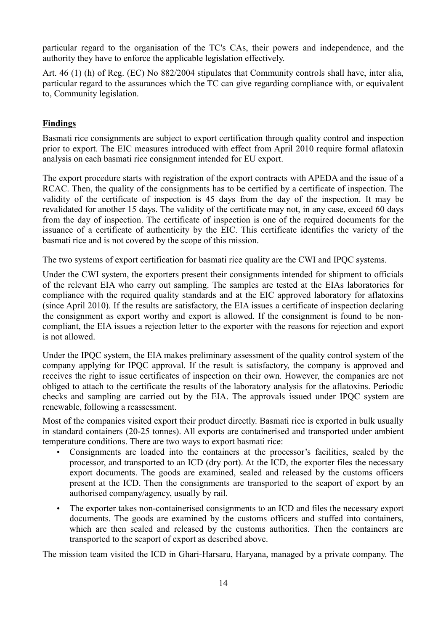particular regard to the organisation of the TC's CAs, their powers and independence, and the authority they have to enforce the applicable legislation effectively.

Art. 46 (1) (h) of Reg. (EC) No 882/2004 stipulates that Community controls shall have, inter alia, particular regard to the assurances which the TC can give regarding compliance with, or equivalent to, Community legislation.

## **Findings**

Basmati rice consignments are subject to export certification through quality control and inspection prior to export. The EIC measures introduced with effect from April 2010 require formal aflatoxin analysis on each basmati rice consignment intended for EU export.

The export procedure starts with registration of the export contracts with APEDA and the issue of a RCAC. Then, the quality of the consignments has to be certified by a certificate of inspection. The validity of the certificate of inspection is 45 days from the day of the inspection. It may be revalidated for another 15 days. The validity of the certificate may not, in any case, exceed 60 days from the day of inspection. The certificate of inspection is one of the required documents for the issuance of a certificate of authenticity by the EIC. This certificate identifies the variety of the basmati rice and is not covered by the scope of this mission.

The two systems of export certification for basmati rice quality are the CWI and IPQC systems.

Under the CWI system, the exporters present their consignments intended for shipment to officials of the relevant EIA who carry out sampling. The samples are tested at the EIAs laboratories for compliance with the required quality standards and at the EIC approved laboratory for aflatoxins (since April 2010). If the results are satisfactory, the EIA issues a certificate of inspection declaring the consignment as export worthy and export is allowed. If the consignment is found to be noncompliant, the EIA issues a rejection letter to the exporter with the reasons for rejection and export is not allowed.

Under the IPQC system, the EIA makes preliminary assessment of the quality control system of the company applying for IPQC approval. If the result is satisfactory, the company is approved and receives the right to issue certificates of inspection on their own. However, the companies are not obliged to attach to the certificate the results of the laboratory analysis for the aflatoxins. Periodic checks and sampling are carried out by the EIA. The approvals issued under IPQC system are renewable, following a reassessment.

Most of the companies visited export their product directly. Basmati rice is exported in bulk usually in standard containers (20-25 tonnes). All exports are containerised and transported under ambient temperature conditions. There are two ways to export basmati rice:

- Consignments are loaded into the containers at the processor's facilities, sealed by the processor, and transported to an ICD (dry port). At the ICD, the exporter files the necessary export documents. The goods are examined, sealed and released by the customs officers present at the ICD. Then the consignments are transported to the seaport of export by an authorised company/agency, usually by rail.
- The exporter takes non-containerised consignments to an ICD and files the necessary export documents. The goods are examined by the customs officers and stuffed into containers, which are then sealed and released by the customs authorities. Then the containers are transported to the seaport of export as described above.

The mission team visited the ICD in Ghari-Harsaru, Haryana, managed by a private company. The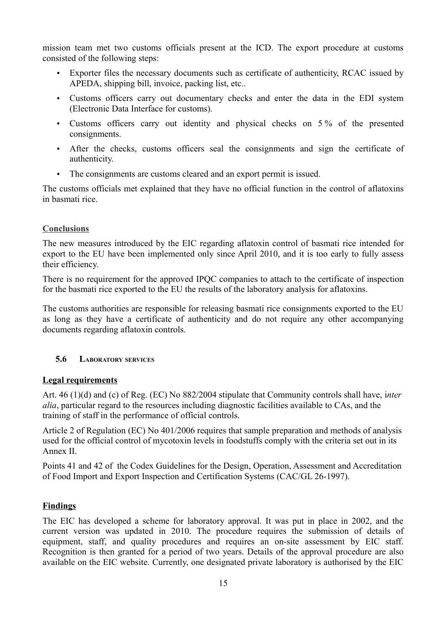mission team met two customs officials present at the ICD. The export procedure at customs consisted of the following steps:

- Exporter files the necessary documents such as certificate of authenticity, RCAC issued by APEDA, shipping bill, invoice, packing list, etc..
- Customs officers carry out documentary checks and enter the data in the EDI system (Electronic Data Interface for customs).
- Customs officers carry out identity and physical checks on 5% of the presented consignments.
- After the checks, customs officers seal the consignments and sign the certificate of authenticity.
- The consignments are customs cleared and an export permit is issued.

The customs officials met explained that they have no official function in the control of aflatoxins in basmati rice.

## **Conclusions**

The new measures introduced by the EIC regarding aflatoxin control of basmati rice intended for export to the EU have been implemented only since April 2010, and it is too early to fully assess their efficiency.

There is no requirement for the approved IPQC companies to attach to the certificate of inspection for the basmati rice exported to the EU the results of the laboratory analysis for aflatoxins.

The customs authorities are responsible for releasing basmati rice consignments exported to the EU as long as they have a certificate of authenticity and do not require any other accompanying documents regarding aflatoxin controls.

## <span id="page-19-0"></span> **5.6 LABORATORY SERVICES**

## **Legal requirements**

Art. 46 (1)(d) and (c) of Reg. (EC) No 882/2004 stipulate that Community controls shall have, i*nter alia*, particular regard to the resources including diagnostic facilities available to CAs, and the training of staff in the performance of official controls.

Article 2 of Regulation (EC) No 401/2006 requires that sample preparation and methods of analysis used for the official control of mycotoxin levels in foodstuffs comply with the criteria set out in its Annex II.

Points 41 and 42 of the Codex Guidelines for the Design, Operation, Assessment and Accreditation of Food Import and Export Inspection and Certification Systems (CAC/GL 26-1997).

# **Findings**

The EIC has developed a scheme for laboratory approval. It was put in place in 2002, and the current version was updated in 2010. The procedure requires the submission of details of equipment, staff, and quality procedures and requires an on-site assessment by EIC staff. Recognition is then granted for a period of two years. Details of the approval procedure are also available on the EIC website. Currently, one designated private laboratory is authorised by the EIC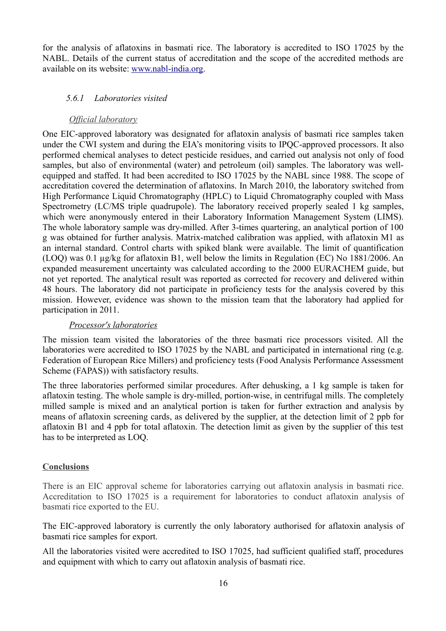for the analysis of aflatoxins in basmati rice. The laboratory is accredited to ISO 17025 by the NABL. Details of the current status of accreditation and the scope of the accredited methods are available on its website: [www.nabl-india.org.](http://www.nabl-india.org/)

#### <span id="page-20-0"></span> *5.6.1 Laboratories visited*

#### *Official laboratory*

One EIC-approved laboratory was designated for aflatoxin analysis of basmati rice samples taken under the CWI system and during the EIA's monitoring visits to IPQC-approved processors. It also performed chemical analyses to detect pesticide residues, and carried out analysis not only of food samples, but also of environmental (water) and petroleum (oil) samples. The laboratory was wellequipped and staffed. It had been accredited to ISO 17025 by the NABL since 1988. The scope of accreditation covered the determination of aflatoxins. In March 2010, the laboratory switched from High Performance Liquid Chromatography (HPLC) to Liquid Chromatography coupled with Mass Spectrometry (LC/MS triple quadrupole). The laboratory received properly sealed 1 kg samples, which were anonymously entered in their Laboratory Information Management System (LIMS). The whole laboratory sample was dry-milled. After 3-times quartering, an analytical portion of 100 g was obtained for further analysis. Matrix-matched calibration was applied, with aflatoxin M1 as an internal standard. Control charts with spiked blank were available. The limit of quantification (LOQ) was 0.1 µg/kg for aflatoxin B1, well below the limits in Regulation (EC) No 1881/2006. An expanded measurement uncertainty was calculated according to the 2000 EURACHEM guide, but not yet reported. The analytical result was reported as corrected for recovery and delivered within 48 hours. The laboratory did not participate in proficiency tests for the analysis covered by this mission. However, evidence was shown to the mission team that the laboratory had applied for participation in 2011.

#### *Processor's laboratories*

The mission team visited the laboratories of the three basmati rice processors visited. All the laboratories were accredited to ISO 17025 by the NABL and participated in international ring (e.g. Federation of European Rice Millers) and proficiency tests (Food Analysis Performance Assessment Scheme (FAPAS)) with satisfactory results.

The three laboratories performed similar procedures. After dehusking, a 1 kg sample is taken for aflatoxin testing. The whole sample is dry-milled, portion-wise, in centrifugal mills. The completely milled sample is mixed and an analytical portion is taken for further extraction and analysis by means of aflatoxin screening cards, as delivered by the supplier, at the detection limit of 2 ppb for aflatoxin B1 and 4 ppb for total aflatoxin. The detection limit as given by the supplier of this test has to be interpreted as LOQ.

## **Conclusions**

There is an EIC approval scheme for laboratories carrying out aflatoxin analysis in basmati rice. Accreditation to ISO 17025 is a requirement for laboratories to conduct aflatoxin analysis of basmati rice exported to the EU.

The EIC-approved laboratory is currently the only laboratory authorised for aflatoxin analysis of basmati rice samples for export.

All the laboratories visited were accredited to ISO 17025, had sufficient qualified staff, procedures and equipment with which to carry out aflatoxin analysis of basmati rice.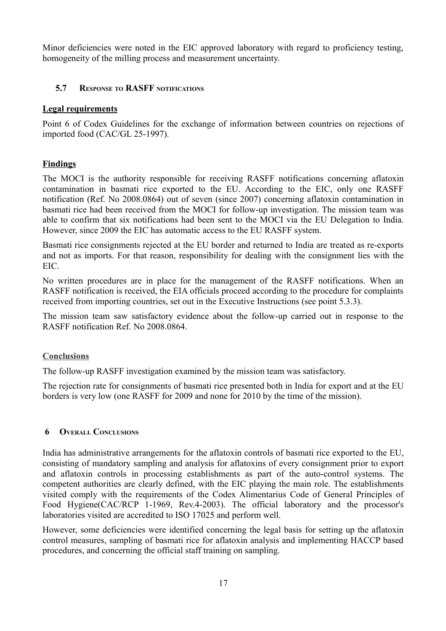Minor deficiencies were noted in the EIC approved laboratory with regard to proficiency testing, homogeneity of the milling process and measurement uncertainty.

## <span id="page-21-1"></span> **5.7 RESPONSE TO RASFF NOTIFICATIONS**

#### **Legal requirements**

Point 6 of Codex Guidelines for the exchange of information between countries on rejections of imported food (CAC/GL 25-1997).

## **Findings**

The MOCI is the authority responsible for receiving RASFF notifications concerning aflatoxin contamination in basmati rice exported to the EU. According to the EIC, only one RASFF notification (Ref. No 2008.0864) out of seven (since 2007) concerning aflatoxin contamination in basmati rice had been received from the MOCI for follow-up investigation. The mission team was able to confirm that six notifications had been sent to the MOCI via the EU Delegation to India. However, since 2009 the EIC has automatic access to the EU RASFF system.

Basmati rice consignments rejected at the EU border and returned to India are treated as re-exports and not as imports. For that reason, responsibility for dealing with the consignment lies with the EIC.

No written procedures are in place for the management of the RASFF notifications. When an RASFF notification is received, the EIA officials proceed according to the procedure for complaints received from importing countries, set out in the Executive Instructions (see point 5.3.3).

The mission team saw satisfactory evidence about the follow-up carried out in response to the RASFF notification Ref. No 2008.0864.

#### **Conclusions**

The follow-up RASFF investigation examined by the mission team was satisfactory.

The rejection rate for consignments of basmati rice presented both in India for export and at the EU borders is very low (one RASFF for 2009 and none for 2010 by the time of the mission).

#### <span id="page-21-0"></span> **6 OVERALL CONCLUSIONS**

India has administrative arrangements for the aflatoxin controls of basmati rice exported to the EU, consisting of mandatory sampling and analysis for aflatoxins of every consignment prior to export and aflatoxin controls in processing establishments as part of the auto-control systems. The competent authorities are clearly defined, with the EIC playing the main role. The establishments visited comply with the requirements of the Codex Alimentarius Code of General Principles of Food Hygiene(CAC/RCP 1-1969, Rev.4-2003). The official laboratory and the processor's laboratories visited are accredited to ISO 17025 and perform well.

However, some deficiencies were identified concerning the legal basis for setting up the aflatoxin control measures, sampling of basmati rice for aflatoxin analysis and implementing HACCP based procedures, and concerning the official staff training on sampling.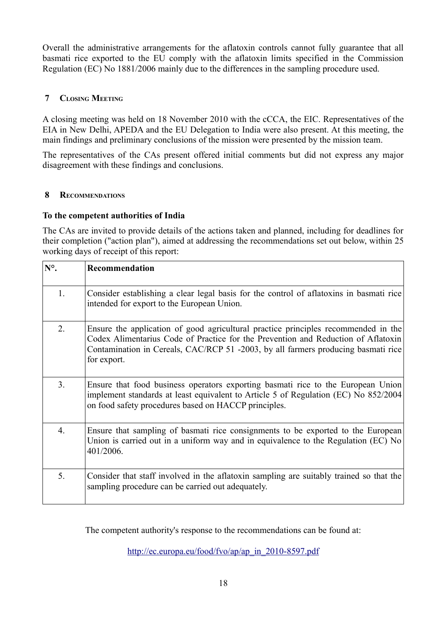Overall the administrative arrangements for the aflatoxin controls cannot fully guarantee that all basmati rice exported to the EU comply with the aflatoxin limits specified in the Commission Regulation (EC) No 1881/2006 mainly due to the differences in the sampling procedure used.

## <span id="page-22-1"></span> **7 CLOSING MEETING**

A closing meeting was held on 18 November 2010 with the cCCA, the EIC. Representatives of the EIA in New Delhi, APEDA and the EU Delegation to India were also present. At this meeting, the main findings and preliminary conclusions of the mission were presented by the mission team.

The representatives of the CAs present offered initial comments but did not express any major disagreement with these findings and conclusions.

#### <span id="page-22-0"></span> **8 RECOMMENDATIONS**

#### **To the competent authorities of India**

The CAs are invited to provide details of the actions taken and planned, including for deadlines for their completion ("action plan"), aimed at addressing the recommendations set out below, within 25 working days of receipt of this report:

| N°.            | Recommendation                                                                                                                                                                                                                                                              |
|----------------|-----------------------------------------------------------------------------------------------------------------------------------------------------------------------------------------------------------------------------------------------------------------------------|
| 1.             | Consider establishing a clear legal basis for the control of aflatoxins in basmati rice<br>intended for export to the European Union.                                                                                                                                       |
| 2.             | Ensure the application of good agricultural practice principles recommended in the<br>Codex Alimentarius Code of Practice for the Prevention and Reduction of Aflatoxin<br>Contamination in Cereals, CAC/RCP 51 -2003, by all farmers producing basmati rice<br>for export. |
| 3 <sub>1</sub> | Ensure that food business operators exporting basmati rice to the European Union<br>implement standards at least equivalent to Article 5 of Regulation (EC) No 852/2004<br>on food safety procedures based on HACCP principles.                                             |
| 4.             | Ensure that sampling of basmati rice consignments to be exported to the European<br>Union is carried out in a uniform way and in equivalence to the Regulation (EC) No<br>401/2006.                                                                                         |
| 5.             | Consider that staff involved in the aflatoxin sampling are suitably trained so that the<br>sampling procedure can be carried out adequately.                                                                                                                                |

The competent authority's response to the recommendations can be found at:

[http://ec.europa.eu/food/fvo/ap/ap\\_in\\_2010-8597.pdf](http://ec.europa.eu/food/fvo/ap/ap_in_2010-8597.pdf)